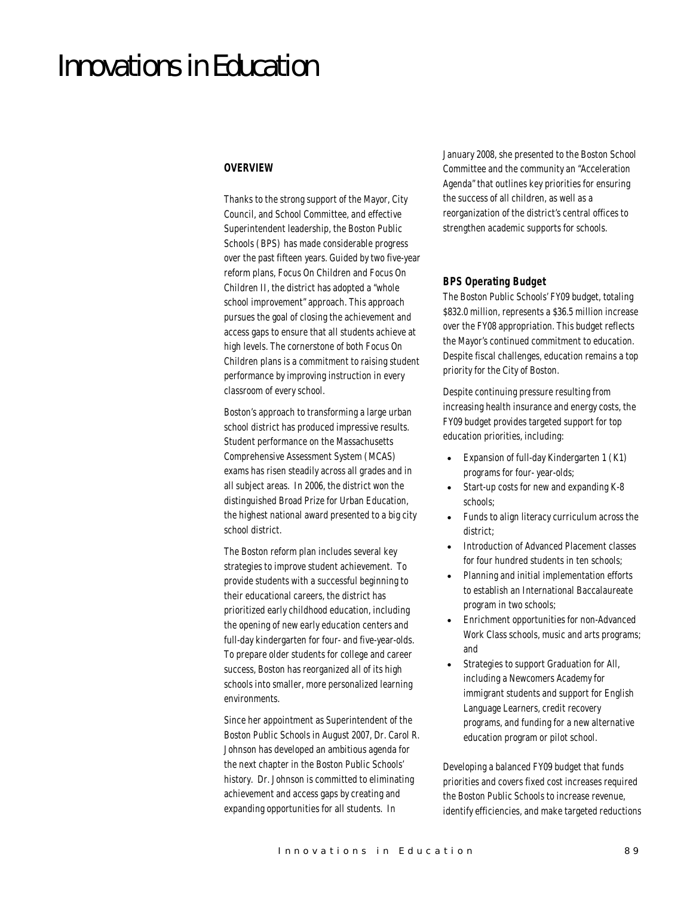# Innovations in Education

#### *OVERVIEW*

Thanks to the strong support of the Mayor, City Council, and School Committee, and effective Superintendent leadership, the Boston Public Schools (BPS) has made considerable progress over the past fifteen years. Guided by two five-year reform plans, Focus On Children and Focus On Children II, the district has adopted a "whole school improvement" approach. This approach pursues the goal of closing the achievement and access gaps to ensure that all students achieve at high levels. The cornerstone of both Focus On Children plans is a commitment to raising student performance by improving instruction in every classroom of every school.

Boston's approach to transforming a large urban school district has produced impressive results. Student performance on the Massachusetts Comprehensive Assessment System (MCAS) exams has risen steadily across all grades and in all subject areas. In 2006, the district won the distinguished Broad Prize for Urban Education, the highest national award presented to a big city school district.

The Boston reform plan includes several key strategies to improve student achievement. To provide students with a successful beginning to their educational careers, the district has prioritized early childhood education, including the opening of new early education centers and full-day kindergarten for four- and five-year-olds. To prepare older students for college and career success, Boston has reorganized all of its high schools into smaller, more personalized learning environments.

Since her appointment as Superintendent of the Boston Public Schools in August 2007, Dr. Carol R. Johnson has developed an ambitious agenda for the next chapter in the Boston Public Schools' history. Dr. Johnson is committed to eliminating achievement and access gaps by creating and expanding opportunities for all students. In

January 2008, she presented to the Boston School Committee and the community an "Acceleration Agenda" that outlines key priorities for ensuring the success of all children, as well as a reorganization of the district's central offices to strengthen academic supports for schools.

#### *BPS Operating Budget*

The Boston Public Schools' FY09 budget, totaling \$832.0 million, represents a \$36.5 million increase over the FY08 appropriation. This budget reflects the Mayor's continued commitment to education. Despite fiscal challenges, education remains a top priority for the City of Boston.

Despite continuing pressure resulting from increasing health insurance and energy costs, the FY09 budget provides targeted support for top education priorities, including:

- Expansion of full-day Kindergarten 1 (K1) programs for four- year-olds;
- Start-up costs for new and expanding K-8 schools;
- Funds to align literacy curriculum across the district;
- Introduction of Advanced Placement classes for four hundred students in ten schools;
- Planning and initial implementation efforts to establish an International Baccalaureate program in two schools;
- Enrichment opportunities for non-Advanced Work Class schools, music and arts programs; and
- Strategies to support Graduation for All, including a Newcomers Academy for immigrant students and support for English Language Learners, credit recovery programs, and funding for a new alternative education program or pilot school.

Developing a balanced FY09 budget that funds priorities and covers fixed cost increases required the Boston Public Schools to increase revenue, identify efficiencies, and make targeted reductions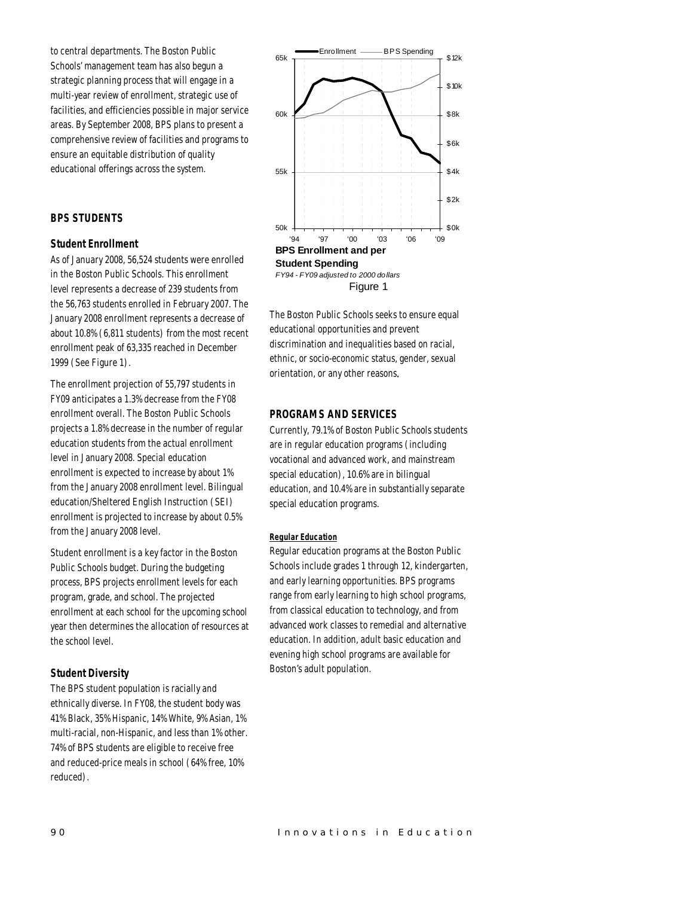to central departments. The Boston Public Schools' management team has also begun a strategic planning process that will engage in a multi-year review of enrollment, strategic use of facilities, and efficiencies possible in major service areas. By September 2008, BPS plans to present a comprehensive review of facilities and programs to ensure an equitable distribution of quality educational offerings across the system.

## *BPS STUDENTS*

#### *Student Enrollment*

As of January 2008, 56,524 students were enrolled in the Boston Public Schools. This enrollment level represents a decrease of 239 students from the 56,763 students enrolled in February 2007. The January 2008 enrollment represents a decrease of about 10.8% (6,811 students) from the most recent enrollment peak of 63,335 reached in December 1999 (See Figure 1).

The enrollment projection of 55,797 students in FY09 anticipates a 1.3% decrease from the FY08 enrollment overall. The Boston Public Schools projects a 1.8% decrease in the number of regular education students from the actual enrollment level in January 2008. Special education enrollment is expected to increase by about 1% from the January 2008 enrollment level. Bilingual education/Sheltered English Instruction (SEI) enrollment is projected to increase by about 0.5% from the January 2008 level.

Student enrollment is a key factor in the Boston Public Schools budget. During the budgeting process, BPS projects enrollment levels for each program, grade, and school. The projected enrollment at each school for the upcoming school year then determines the allocation of resources at the school level.

## *Student Diversity*

The BPS student population is racially and ethnically diverse. In FY08, the student body was 41% Black, 35% Hispanic, 14% White, 9% Asian, 1% multi-racial, non-Hispanic, and less than 1% other. 74% of BPS students are eligible to receive free and reduced-price meals in school (64% free, 10% reduced).



The Boston Public Schools seeks to ensure equal educational opportunities and prevent discrimination and inequalities based on racial, ethnic, or socio-economic status, gender, sexual orientation, or any other reasons.

## *PROGRAMS AND SERVICES*

Currently, 79.1% of Boston Public Schools students are in regular education programs (including vocational and advanced work, and mainstream special education), 10.6% are in bilingual education, and 10.4% are in substantially separate special education programs.

#### *Regular Education*

Regular education programs at the Boston Public Schools include grades 1 through 12, kindergarten, and early learning opportunities. BPS programs range from early learning to high school programs, from classical education to technology, and from advanced work classes to remedial and alternative education. In addition, adult basic education and evening high school programs are available for Boston's adult population.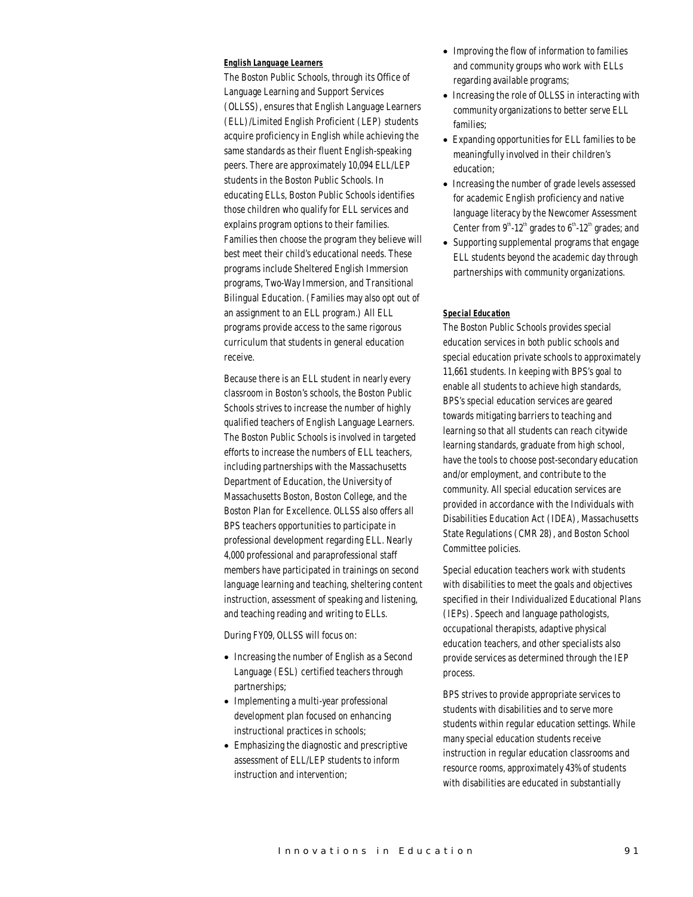#### *English Language Learners*

The Boston Public Schools, through its Office of Language Learning and Support Services (OLLSS), ensures that English Language Learners (ELL)/Limited English Proficient (LEP) students acquire proficiency in English while achieving the same standards as their fluent English-speaking peers. There are approximately 10,094 ELL/LEP students in the Boston Public Schools. In educating ELLs, Boston Public Schools identifies those children who qualify for ELL services and explains program options to their families. Families then choose the program they believe will best meet their child's educational needs. These programs include Sheltered English Immersion programs, Two-Way Immersion, and Transitional Bilingual Education. (Families may also opt out of an assignment to an ELL program.) All ELL programs provide access to the same rigorous curriculum that students in general education receive.

Because there is an ELL student in nearly every classroom in Boston's schools, the Boston Public Schools strives to increase the number of highly qualified teachers of English Language Learners. The Boston Public Schools is involved in targeted efforts to increase the numbers of ELL teachers, including partnerships with the Massachusetts Department of Education, the University of Massachusetts Boston, Boston College, and the Boston Plan for Excellence. OLLSS also offers all BPS teachers opportunities to participate in professional development regarding ELL. Nearly 4,000 professional and paraprofessional staff members have participated in trainings on second language learning and teaching, sheltering content instruction, assessment of speaking and listening, and teaching reading and writing to ELLs.

During FY09, OLLSS will focus on:

- Increasing the number of English as a Second Language (ESL) certified teachers through partnerships;
- Implementing a multi-year professional development plan focused on enhancing instructional practices in schools;
- Emphasizing the diagnostic and prescriptive assessment of ELL/LEP students to inform instruction and intervention;
- Improving the flow of information to families and community groups who work with ELLs regarding available programs;
- Increasing the role of OLLSS in interacting with community organizations to better serve ELL families;
- Expanding opportunities for ELL families to be meaningfully involved in their children's education;
- Increasing the number of grade levels assessed for academic English proficiency and native language literacy by the Newcomer Assessment Center from  $9<sup>th</sup>$ -12<sup>th</sup> grades to  $6<sup>th</sup>$ -12<sup>th</sup> grades; and
- Supporting supplemental programs that engage ELL students beyond the academic day through partnerships with community organizations.

#### *Special Education*

The Boston Public Schools provides special education services in both public schools and special education private schools to approximately 11,661 students. In keeping with BPS's goal to enable all students to achieve high standards, BPS's special education services are geared towards mitigating barriers to teaching and learning so that all students can reach citywide learning standards, graduate from high school, have the tools to choose post-secondary education and/or employment, and contribute to the community. All special education services are provided in accordance with the Individuals with Disabilities Education Act (IDEA), Massachusetts State Regulations (CMR 28), and Boston School Committee policies.

Special education teachers work with students with disabilities to meet the goals and objectives specified in their Individualized Educational Plans (IEPs). Speech and language pathologists, occupational therapists, adaptive physical education teachers, and other specialists also provide services as determined through the IEP process.

BPS strives to provide appropriate services to students with disabilities and to serve more students within regular education settings. While many special education students receive instruction in regular education classrooms and resource rooms, approximately 43% of students with disabilities are educated in substantially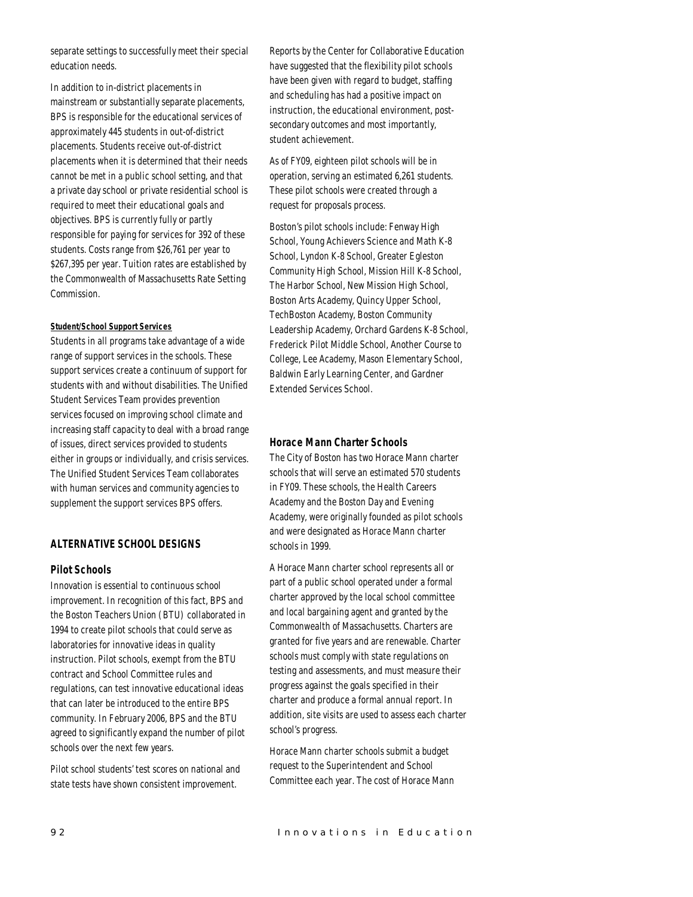separate settings to successfully meet their special education needs.

In addition to in-district placements in mainstream or substantially separate placements, BPS is responsible for the educational services of approximately 445 students in out-of-district placements. Students receive out-of-district placements when it is determined that their needs cannot be met in a public school setting, and that a private day school or private residential school is required to meet their educational goals and objectives. BPS is currently fully or partly responsible for paying for services for 392 of these students. Costs range from \$26,761 per year to \$267,395 per year. Tuition rates are established by the Commonwealth of Massachusetts Rate Setting Commission.

#### *Student/School Support Services*

Students in all programs take advantage of a wide range of support services in the schools. These support services create a continuum of support for students with and without disabilities. The Unified Student Services Team provides prevention services focused on improving school climate and increasing staff capacity to deal with a broad range of issues, direct services provided to students either in groups or individually, and crisis services. The Unified Student Services Team collaborates with human services and community agencies to supplement the support services BPS offers.

#### *ALTERNATIVE SCHOOL DESIGNS*

#### *Pilot Schools*

Innovation is essential to continuous school improvement. In recognition of this fact, BPS and the Boston Teachers Union (BTU) collaborated in 1994 to create pilot schools that could serve as laboratories for innovative ideas in quality instruction. Pilot schools, exempt from the BTU contract and School Committee rules and regulations, can test innovative educational ideas that can later be introduced to the entire BPS community. In February 2006, BPS and the BTU agreed to significantly expand the number of pilot schools over the next few years.

Pilot school students' test scores on national and state tests have shown consistent improvement.

Reports by the Center for Collaborative Education have suggested that the flexibility pilot schools have been given with regard to budget, staffing and scheduling has had a positive impact on instruction, the educational environment, postsecondary outcomes and most importantly, student achievement.

As of FY09, eighteen pilot schools will be in operation, serving an estimated 6,261 students. These pilot schools were created through a request for proposals process.

Boston's pilot schools include: Fenway High School, Young Achievers Science and Math K-8 School, Lyndon K-8 School, Greater Egleston Community High School, Mission Hill K-8 School, The Harbor School, New Mission High School, Boston Arts Academy, Quincy Upper School, TechBoston Academy, Boston Community Leadership Academy, Orchard Gardens K-8 School, Frederick Pilot Middle School, Another Course to College, Lee Academy, Mason Elementary School, Baldwin Early Learning Center, and Gardner Extended Services School.

## *Horace Mann Charter Schools*

The City of Boston has two Horace Mann charter schools that will serve an estimated 570 students in FY09. These schools, the Health Careers Academy and the Boston Day and Evening Academy, were originally founded as pilot schools and were designated as Horace Mann charter schools in 1999.

A Horace Mann charter school represents all or part of a public school operated under a formal charter approved by the local school committee and local bargaining agent and granted by the Commonwealth of Massachusetts. Charters are granted for five years and are renewable. Charter schools must comply with state regulations on testing and assessments, and must measure their progress against the goals specified in their charter and produce a formal annual report. In addition, site visits are used to assess each charter school's progress.

Horace Mann charter schools submit a budget request to the Superintendent and School Committee each year. The cost of Horace Mann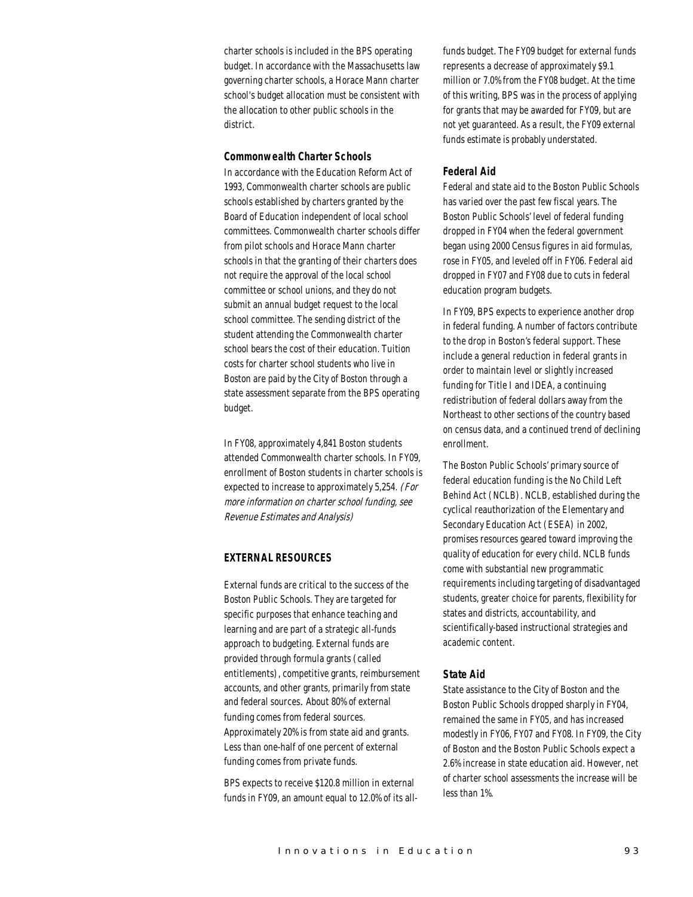charter schools is included in the BPS operating budget. In accordance with the Massachusetts law governing charter schools, a Horace Mann charter school's budget allocation must be consistent with the allocation to other public schools in the district.

#### *Commonwealth Charter Schools*

In accordance with the Education Reform Act of 1993, Commonwealth charter schools are public schools established by charters granted by the Board of Education independent of local school committees. Commonwealth charter schools differ from pilot schools and Horace Mann charter schools in that the granting of their charters does not require the approval of the local school committee or school unions, and they do not submit an annual budget request to the local school committee. The sending district of the student attending the Commonwealth charter school bears the cost of their education. Tuition costs for charter school students who live in Boston are paid by the City of Boston through a state assessment separate from the BPS operating budget.

In FY08, approximately 4,841 Boston students attended Commonwealth charter schools. In FY09, enrollment of Boston students in charter schools is expected to increase to approximately 5,254. (For more information on charter school funding, see Revenue Estimates and Analysis)

## *EXTERNAL RESOURCES*

External funds are critical to the success of the Boston Public Schools. They are targeted for specific purposes that enhance teaching and learning and are part of a strategic all-funds approach to budgeting. External funds are provided through formula grants (called entitlements), competitive grants, reimbursement accounts, and other grants, primarily from state and federal sources. About 80% of external funding comes from federal sources. Approximately 20% is from state aid and grants. Less than one-half of one percent of external funding comes from private funds.

BPS expects to receive \$120.8 million in external funds in FY09, an amount equal to 12.0% of its all-

funds budget. The FY09 budget for external funds represents a decrease of approximately \$9.1 million or 7.0% from the FY08 budget. At the time of this writing, BPS was in the process of applying for grants that may be awarded for FY09, but are not yet guaranteed. As a result, the FY09 external funds estimate is probably understated.

#### *Federal Aid*

Federal and state aid to the Boston Public Schools has varied over the past few fiscal years. The Boston Public Schools' level of federal funding dropped in FY04 when the federal government began using 2000 Census figures in aid formulas, rose in FY05, and leveled off in FY06. Federal aid dropped in FY07 and FY08 due to cuts in federal education program budgets.

In FY09, BPS expects to experience another drop in federal funding. A number of factors contribute to the drop in Boston's federal support. These include a general reduction in federal grants in order to maintain level or slightly increased funding for Title I and IDEA, a continuing redistribution of federal dollars away from the Northeast to other sections of the country based on census data, and a continued trend of declining enrollment.

The Boston Public Schools' primary source of federal education funding is the No Child Left Behind Act (NCLB). NCLB, established during the cyclical reauthorization of the Elementary and Secondary Education Act (ESEA) in 2002, promises resources geared toward improving the quality of education for every child. NCLB funds come with substantial new programmatic requirements including targeting of disadvantaged students, greater choice for parents, flexibility for states and districts, accountability, and scientifically-based instructional strategies and academic content.

#### *State Aid*

State assistance to the City of Boston and the Boston Public Schools dropped sharply in FY04, remained the same in FY05, and has increased modestly in FY06, FY07 and FY08. In FY09, the City of Boston and the Boston Public Schools expect a 2.6% increase in state education aid. However, net of charter school assessments the increase will be less than 1%.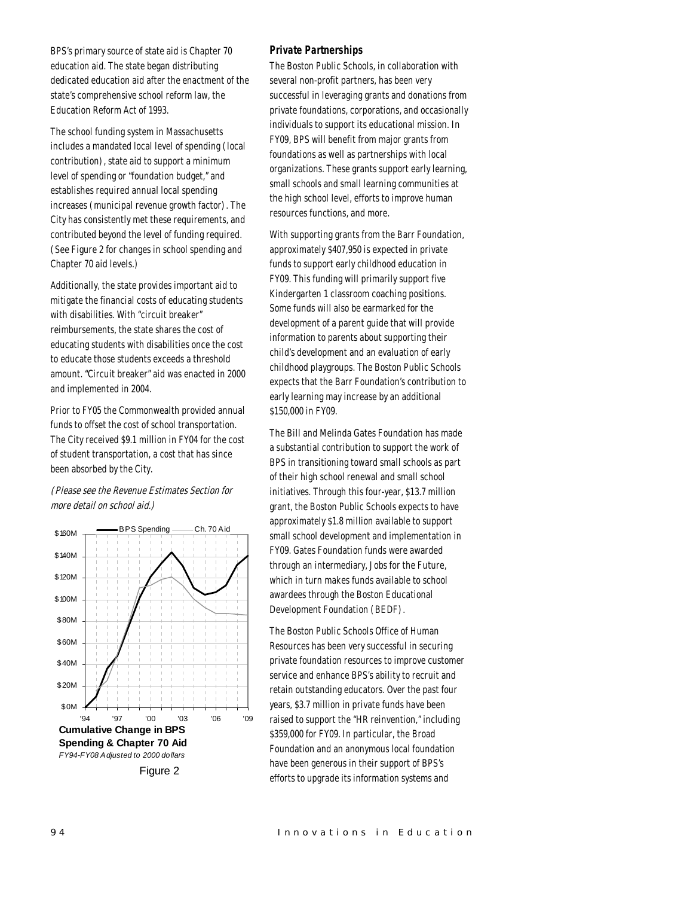BPS's primary source of state aid is Chapter 70 education aid. The state began distributing dedicated education aid after the enactment of the state's comprehensive school reform law, the Education Reform Act of 1993.

The school funding system in Massachusetts includes a mandated local level of spending (local contribution), state aid to support a minimum level of spending or "foundation budget," and establishes required annual local spending increases (municipal revenue growth factor). The City has consistently met these requirements, and contributed beyond the level of funding required. (See Figure 2 for changes in school spending and Chapter 70 aid levels.)

Additionally, the state provides important aid to mitigate the financial costs of educating students with disabilities. With "circuit breaker" reimbursements, the state shares the cost of educating students with disabilities once the cost to educate those students exceeds a threshold amount. "Circuit breaker" aid was enacted in 2000 and implemented in 2004.

Prior to FY05 the Commonwealth provided annual funds to offset the cost of school transportation. The City received \$9.1 million in FY04 for the cost of student transportation, a cost that has since been absorbed by the City.

(Please see the Revenue Estimates Section for more detail on school aid.)



## *Private Partnerships*

The Boston Public Schools, in collaboration with several non-profit partners, has been very successful in leveraging grants and donations from private foundations, corporations, and occasionally individuals to support its educational mission. In FY09, BPS will benefit from major grants from foundations as well as partnerships with local organizations. These grants support early learning, small schools and small learning communities at the high school level, efforts to improve human resources functions, and more.

With supporting grants from the Barr Foundation, approximately \$407,950 is expected in private funds to support early childhood education in FY09. This funding will primarily support five Kindergarten 1 classroom coaching positions. Some funds will also be earmarked for the development of a parent guide that will provide information to parents about supporting their child's development and an evaluation of early childhood playgroups. The Boston Public Schools expects that the Barr Foundation's contribution to early learning may increase by an additional \$150,000 in FY09.

The Bill and Melinda Gates Foundation has made a substantial contribution to support the work of BPS in transitioning toward small schools as part of their high school renewal and small school initiatives. Through this four-year, \$13.7 million grant, the Boston Public Schools expects to have approximately \$1.8 million available to support small school development and implementation in FY09. Gates Foundation funds were awarded through an intermediary, Jobs for the Future, which in turn makes funds available to school awardees through the Boston Educational Development Foundation (BEDF).

The Boston Public Schools Office of Human Resources has been very successful in securing private foundation resources to improve customer service and enhance BPS's ability to recruit and retain outstanding educators. Over the past four years, \$3.7 million in private funds have been raised to support the "HR reinvention," including \$359,000 for FY09. In particular, the Broad Foundation and an anonymous local foundation have been generous in their support of BPS's efforts to upgrade its information systems and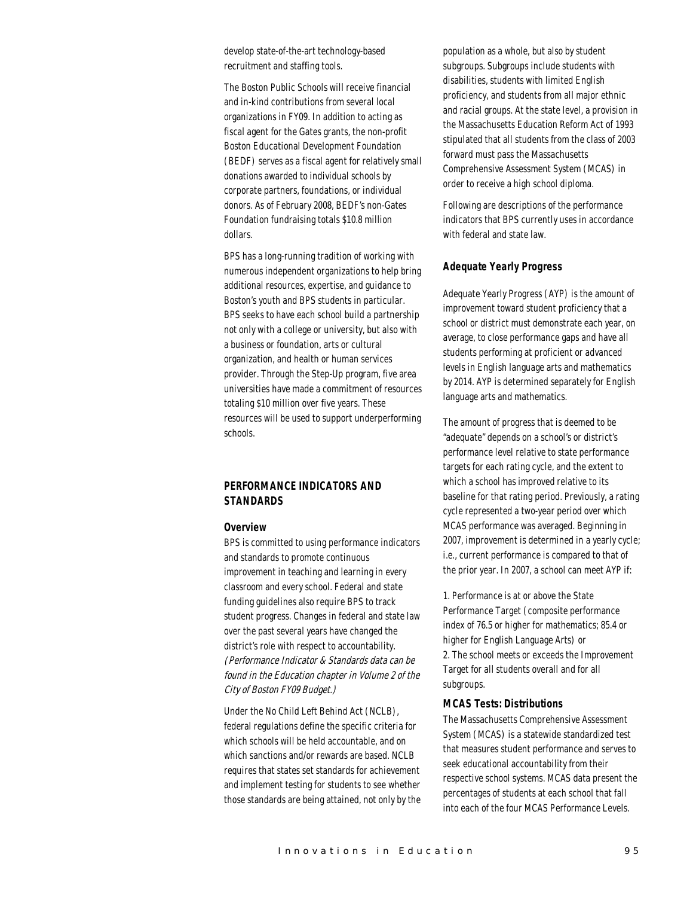develop state-of-the-art technology-based recruitment and staffing tools.

The Boston Public Schools will receive financial and in-kind contributions from several local organizations in FY09. In addition to acting as fiscal agent for the Gates grants, the non-profit Boston Educational Development Foundation (BEDF) serves as a fiscal agent for relatively small donations awarded to individual schools by corporate partners, foundations, or individual donors. As of February 2008, BEDF's non-Gates Foundation fundraising totals \$10.8 million dollars.

BPS has a long-running tradition of working with numerous independent organizations to help bring additional resources, expertise, and guidance to Boston's youth and BPS students in particular. BPS seeks to have each school build a partnership not only with a college or university, but also with a business or foundation, arts or cultural organization, and health or human services provider. Through the Step-Up program, five area universities have made a commitment of resources totaling \$10 million over five years. These resources will be used to support underperforming schools.

## *PERFORMANCE INDICATORS AND STANDARDS*

#### *Overview*

BPS is committed to using performance indicators and standards to promote continuous improvement in teaching and learning in every classroom and every school. Federal and state funding guidelines also require BPS to track student progress. Changes in federal and state law over the past several years have changed the district's role with respect to accountability. (Performance Indicator & Standards data can be found in the Education chapter in Volume 2 of the City of Boston FY09 Budget.)

Under the No Child Left Behind Act (NCLB), federal regulations define the specific criteria for which schools will be held accountable, and on which sanctions and/or rewards are based. NCLB requires that states set standards for achievement and implement testing for students to see whether those standards are being attained, not only by the population as a whole, but also by student subgroups. Subgroups include students with disabilities, students with limited English proficiency, and students from all major ethnic and racial groups. At the state level, a provision in the Massachusetts Education Reform Act of 1993 stipulated that all students from the class of 2003 forward must pass the Massachusetts Comprehensive Assessment System (MCAS) in order to receive a high school diploma.

Following are descriptions of the performance indicators that BPS currently uses in accordance with federal and state law.

## *Adequate Yearly Progress*

Adequate Yearly Progress (AYP) is the amount of improvement toward student proficiency that a school or district must demonstrate each year, on average, to close performance gaps and have all students performing at proficient or advanced levels in English language arts and mathematics by 2014. AYP is determined separately for English language arts and mathematics.

The amount of progress that is deemed to be "adequate" depends on a school's or district's performance level relative to state performance targets for each rating cycle, and the extent to which a school has improved relative to its baseline for that rating period. Previously, a rating cycle represented a two-year period over which MCAS performance was averaged. Beginning in 2007, improvement is determined in a yearly cycle; i.e., current performance is compared to that of the prior year. In 2007, a school can meet AYP if:

1. Performance is at or above the State Performance Target (composite performance index of 76.5 or higher for mathematics; 85.4 or higher for English Language Arts) or 2. The school meets or exceeds the Improvement Target for all students overall and for all subgroups.

#### *MCAS Tests: Distributions*

The Massachusetts Comprehensive Assessment System (MCAS) is a statewide standardized test that measures student performance and serves to seek educational accountability from their respective school systems. MCAS data present the percentages of students at each school that fall into each of the four MCAS Performance Levels.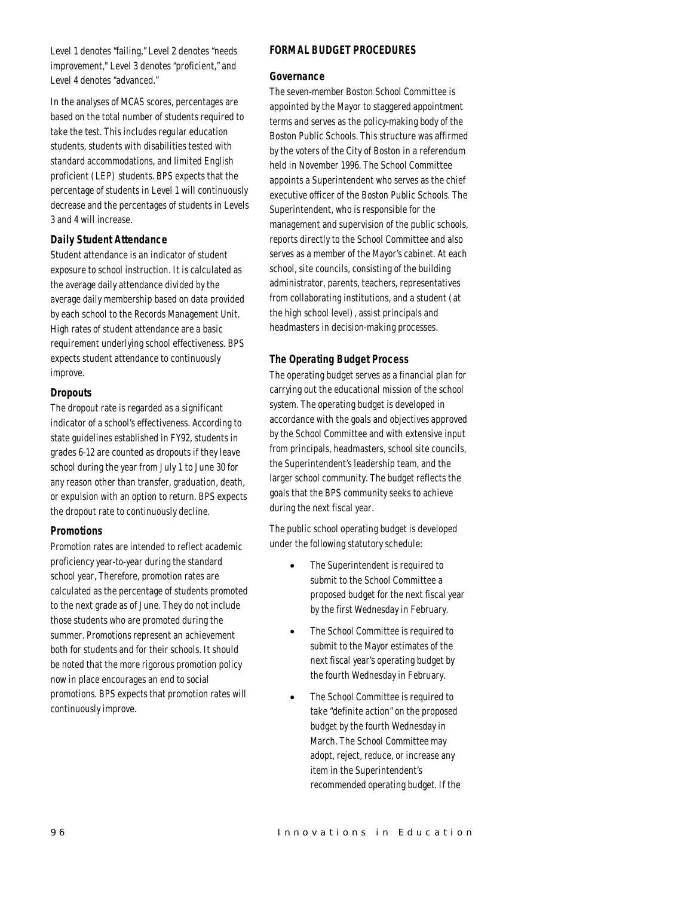Level 1 denotes "failing," Level 2 denotes "needs improvement," Level 3 denotes "proficient," and Level 4 denotes "advanced."

In the analyses of MCAS scores, percentages are based on the total number of students required to take the test. This includes regular education students, students with disabilities tested with standard accommodations, and limited English proficient (LEP) students. BPS expects that the percentage of students in Level 1 will continuously decrease and the percentages of students in Levels 3 and 4 will increase.

#### *Daily Student Attendance*

Student attendance is an indicator of student exposure to school instruction. It is calculated as the average daily attendance divided by the average daily membership based on data provided by each school to the Records Management Unit. High rates of student attendance are a basic requirement underlying school effectiveness. BPS expects student attendance to continuously improve.

## *Dropouts*

The dropout rate is regarded as a significant indicator of a school's effectiveness. According to state guidelines established in FY92, students in grades 6-12 are counted as dropouts if they leave school during the year from July 1 to June 30 for any reason other than transfer, graduation, death, or expulsion with an option to return. BPS expects the dropout rate to continuously decline.

## *Promotions*

Promotion rates are intended to reflect academic proficiency year-to-year during the standard school year, Therefore, promotion rates are calculated as the percentage of students promoted to the next grade as of June. They do not include those students who are promoted during the summer. Promotions represent an achievement both for students and for their schools. It should be noted that the more rigorous promotion policy now in place encourages an end to social promotions. BPS expects that promotion rates will continuously improve.

# *FORMAL BUDGET PROCEDURES*

#### *Governance*

The seven-member Boston School Committee is appointed by the Mayor to staggered appointment terms and serves as the policy-making body of the Boston Public Schools. This structure was affirmed by the voters of the City of Boston in a referendum held in November 1996. The School Committee appoints a Superintendent who serves as the chief executive officer of the Boston Public Schools. The Superintendent, who is responsible for the management and supervision of the public schools, reports directly to the School Committee and also serves as a member of the Mayor's cabinet. At each school, site councils, consisting of the building administrator, parents, teachers, representatives from collaborating institutions, and a student (at the high school level), assist principals and headmasters in decision-making processes.

## *The Operating Budget Process*

The operating budget serves as a financial plan for carrying out the educational mission of the school system. The operating budget is developed in accordance with the goals and objectives approved by the School Committee and with extensive input from principals, headmasters, school site councils, the Superintendent's leadership team, and the larger school community. The budget reflects the goals that the BPS community seeks to achieve during the next fiscal year.

The public school operating budget is developed under the following statutory schedule:

- The Superintendent is required to submit to the School Committee a proposed budget for the next fiscal year by the first Wednesday in February.
- The School Committee is required to submit to the Mayor estimates of the next fiscal year's operating budget by the fourth Wednesday in February.
- The School Committee is required to take "definite action" on the proposed budget by the fourth Wednesday in March. The School Committee may adopt, reject, reduce, or increase any item in the Superintendent's recommended operating budget. If the